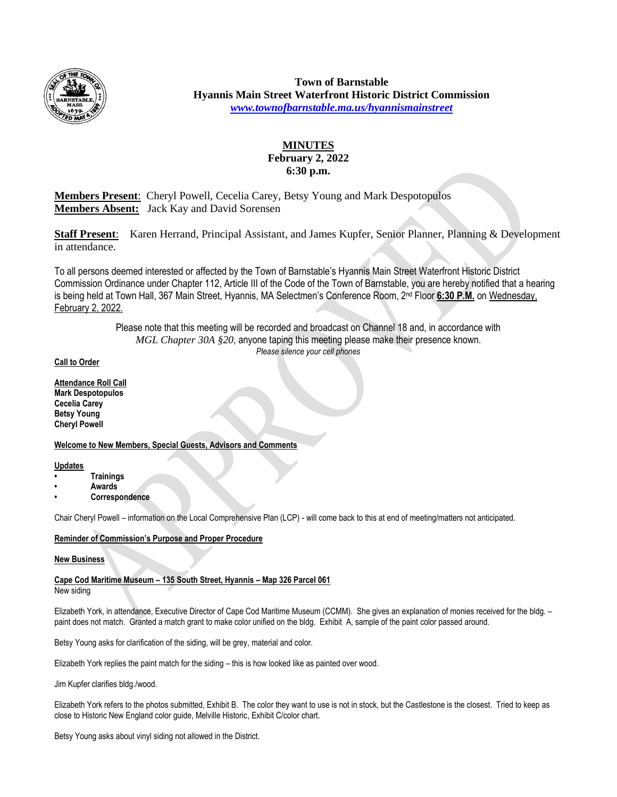

**Town of Barnstable Hyannis Main Street Waterfront Historic District Commission** *[www.townofbarnstable.ma.us/hyannismainstreet](http://www.townofbarnstable.ma.us/hyannismainstreet)*

# **MINUTES February 2, 2022 6:30 p.m.**

**Members Present**: Cheryl Powell, Cecelia Carey, Betsy Young and Mark Despotopulos **Members Absent:** Jack Kay and David Sorensen

**Staff Present**: Karen Herrand, Principal Assistant, and James Kupfer, Senior Planner, Planning & Development in attendance.

To all persons deemed interested or affected by the Town of Barnstable's Hyannis Main Street Waterfront Historic District Commission Ordinance under Chapter 112, Article III of the Code of the Town of Barnstable, you are hereby notified that a hearing is being held at Town Hall, 367 Main Street, Hyannis, MA Selectmen's Conference Room, 2nd Floor **6:30 P.M.** on Wednesday, February 2, 2022.

> Please note that this meeting will be recorded and broadcast on Channel 18 and, in accordance with *MGL Chapter 30A §20*, anyone taping this meeting please make their presence known. *Please silence your cell phones*

### **Call to Order**

**Attendance Roll Call Mark Despotopulos Cecelia Carey Betsy Young Cheryl Powell**

### **Welcome to New Members, Special Guests, Advisors and Comments**

**Updates**

- **• Trainings**
- **• Awards**
- **• Correspondence**

Chair Cheryl Powell – information on the Local Comprehensive Plan (LCP) - will come back to this at end of meeting/matters not anticipated.

### **Reminder of Commission's Purpose and Proper Procedure**

### **New Business**

**Cape Cod Maritime Museum – 135 South Street, Hyannis – Map 326 Parcel 061** New siding

Elizabeth York, in attendance, Executive Director of Cape Cod Maritime Museum (CCMM). She gives an explanation of monies received for the bldg. – paint does not match. Granted a match grant to make color unified on the bldg. Exhibit A, sample of the paint color passed around.

Betsy Young asks for clarification of the siding, will be grey, material and color.

Elizabeth York replies the paint match for the siding – this is how looked like as painted over wood.

Jim Kupfer clarifies bldg./wood.

Elizabeth York refers to the photos submitted, Exhibit B. The color they want to use is not in stock, but the Castlestone is the closest. Tried to keep as close to Historic New England color guide, Melville Historic, Exhibit C/color chart.

Betsy Young asks about vinyl siding not allowed in the District.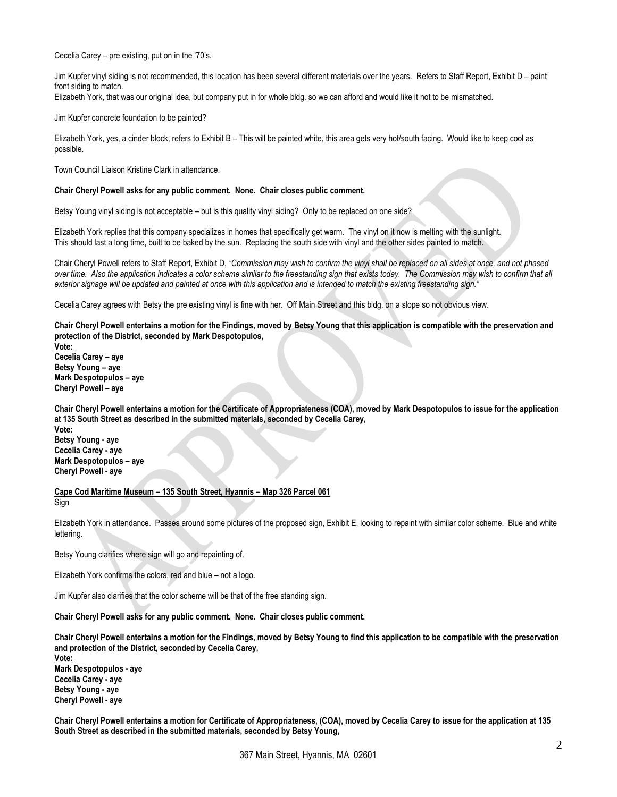Cecelia Carey – pre existing, put on in the '70's.

Jim Kupfer vinyl siding is not recommended, this location has been several different materials over the years. Refers to Staff Report, Exhibit D – paint front siding to match.

Elizabeth York, that was our original idea, but company put in for whole bldg. so we can afford and would like it not to be mismatched.

Jim Kupfer concrete foundation to be painted?

Elizabeth York, yes, a cinder block, refers to Exhibit B – This will be painted white, this area gets very hot/south facing. Would like to keep cool as possible.

Town Council Liaison Kristine Clark in attendance.

#### **Chair Cheryl Powell asks for any public comment. None. Chair closes public comment.**

Betsy Young vinyl siding is not acceptable – but is this quality vinyl siding? Only to be replaced on one side?

Elizabeth York replies that this company specializes in homes that specifically get warm. The vinyl on it now is melting with the sunlight. This should last a long time, built to be baked by the sun. Replacing the south side with vinyl and the other sides painted to match.

Chair Cheryl Powell refers to Staff Report, Exhibit D, *"Commission may wish to confirm the vinyl shall be replaced on all sides at once, and not phased over time. Also the application indicates a color scheme similar to the freestanding sign that exists today. The Commission may wish to confirm that all exterior signage will be updated and painted at once with this application and is intended to match the existing freestanding sign."*

Cecelia Carey agrees with Betsy the pre existing vinyl is fine with her. Off Main Street and this bldg. on a slope so not obvious view.

**Chair Cheryl Powell entertains a motion for the Findings, moved by Betsy Young that this application is compatible with the preservation and protection of the District, seconded by Mark Despotopulos,**

**Vote: Cecelia Carey – aye Betsy Young – aye Mark Despotopulos – aye Cheryl Powell – aye**

**Chair Cheryl Powell entertains a motion for the Certificate of Appropriateness (COA), moved by Mark Despotopulos to issue for the application at 135 South Street as described in the submitted materials, seconded by Cecelia Carey,**

**Vote: Betsy Young - aye Cecelia Carey - aye Mark Despotopulos – aye Cheryl Powell - aye**

**Cape Cod Maritime Museum – 135 South Street, Hyannis – Map 326 Parcel 061**

Sign

Elizabeth York in attendance. Passes around some pictures of the proposed sign, Exhibit E, looking to repaint with similar color scheme. Blue and white lettering.

Betsy Young clarifies where sign will go and repainting of.

Elizabeth York confirms the colors, red and blue – not a logo.

Jim Kupfer also clarifies that the color scheme will be that of the free standing sign.

**Chair Cheryl Powell asks for any public comment. None. Chair closes public comment.**

**Chair Cheryl Powell entertains a motion for the Findings, moved by Betsy Young to find this application to be compatible with the preservation and protection of the District, seconded by Cecelia Carey,**

**Vote: Mark Despotopulos - aye Cecelia Carey - aye Betsy Young - aye Cheryl Powell - aye**

**Chair Cheryl Powell entertains a motion for Certificate of Appropriateness, (COA), moved by Cecelia Carey to issue for the application at 135 South Street as described in the submitted materials, seconded by Betsy Young,**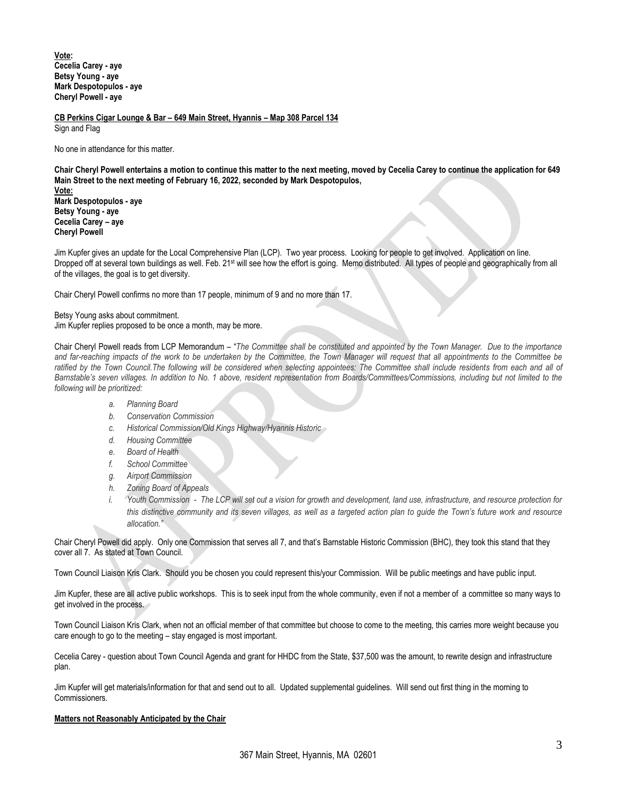**Vote: Cecelia Carey - aye Betsy Young - aye Mark Despotopulos - aye Cheryl Powell - aye**

**CB Perkins Cigar Lounge & Bar – 649 Main Street, Hyannis – Map 308 Parcel 134**

Sign and Flag

No one in attendance for this matter.

**Chair Cheryl Powell entertains a motion to continue this matter to the next meeting, moved by Cecelia Carey to continue the application for 649 Main Street to the next meeting of February 16, 2022, seconded by Mark Despotopulos,**

**Vote: Mark Despotopulos - aye Betsy Young - aye Cecelia Carey – aye Cheryl Powell**

Jim Kupfer gives an update for the Local Comprehensive Plan (LCP). Two year process. Looking for people to get involved. Application on line. Dropped off at several town buildings as well. Feb. 21<sup>st</sup> will see how the effort is going. Memo distributed. All types of people and geographically from all of the villages, the goal is to get diversity.

Chair Cheryl Powell confirms no more than 17 people, minimum of 9 and no more than 17.

Betsy Young asks about commitment. Jim Kupfer replies proposed to be once a month, may be more.

Chair Cheryl Powell reads from LCP Memorandum – "*The Committee shall be constituted and appointed by the Town Manager. Due to the importance and far-reaching impacts of the work to be undertaken by the Committee, the Town Manager will request that all appointments to the Committee be*  ratified by the Town Council.The following will be considered when selecting appointees: The Committee shall include residents from each and all of *Barnstable's seven villages. In addition to No. 1 above, resident representation from Boards/Committees/Commissions, including but not limited to the following will be prioritized:*

- *a. Planning Board*
- *b. Conservation Commission*
- *c. Historical Commission/Old Kings Highway/Hyannis Historic*
- *d. Housing Committee*
- *e. Board of Health*
- *f. School Committee*
- *g. Airport Commission*
- *h. Zoning Board of Appeals*
- *i.* Youth Commission The LCP will set out a vision for growth and development, land use, infrastructure, and resource protection for *this distinctive community and its seven villages, as well as a targeted action plan to guide the Town's future work and resource allocation."*

Chair Cheryl Powell did apply. Only one Commission that serves all 7, and that's Barnstable Historic Commission (BHC), they took this stand that they cover all 7. As stated at Town Council.

Town Council Liaison Kris Clark. Should you be chosen you could represent this/your Commission. Will be public meetings and have public input.

Jim Kupfer, these are all active public workshops. This is to seek input from the whole community, even if not a member of a committee so many ways to get involved in the process.

Town Council Liaison Kris Clark, when not an official member of that committee but choose to come to the meeting, this carries more weight because you care enough to go to the meeting – stay engaged is most important.

Cecelia Carey - question about Town Council Agenda and grant for HHDC from the State, \$37,500 was the amount, to rewrite design and infrastructure plan.

Jim Kupfer will get materials/information for that and send out to all. Updated supplemental guidelines. Will send out first thing in the morning to Commissioners.

#### **Matters not Reasonably Anticipated by the Chair**